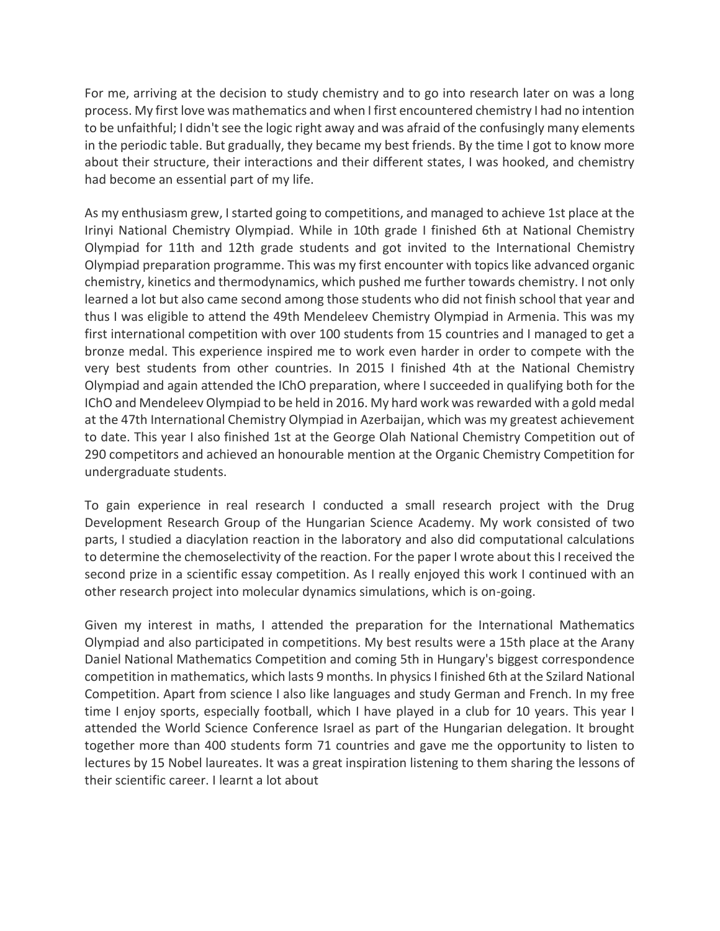For me, arriving at the decision to study chemistry and to go into research later on was a long process. My first love was mathematics and when I first encountered chemistry I had no intention to be unfaithful; I didn't see the logic right away and was afraid of the confusingly many elements in the periodic table. But gradually, they became my best friends. By the time I got to know more about their structure, their interactions and their different states, I was hooked, and chemistry had become an essential part of my life.

As my enthusiasm grew, I started going to competitions, and managed to achieve 1st place at the Irinyi National Chemistry Olympiad. While in 10th grade I finished 6th at National Chemistry Olympiad for 11th and 12th grade students and got invited to the International Chemistry Olympiad preparation programme. This was my first encounter with topics like advanced organic chemistry, kinetics and thermodynamics, which pushed me further towards chemistry. I not only learned a lot but also came second among those students who did not finish school that year and thus I was eligible to attend the 49th Mendeleev Chemistry Olympiad in Armenia. This was my first international competition with over 100 students from 15 countries and I managed to get a bronze medal. This experience inspired me to work even harder in order to compete with the very best students from other countries. In 2015 I finished 4th at the National Chemistry Olympiad and again attended the IChO preparation, where I succeeded in qualifying both for the IChO and Mendeleev Olympiad to be held in 2016. My hard work was rewarded with a gold medal at the 47th International Chemistry Olympiad in Azerbaijan, which was my greatest achievement to date. This year I also finished 1st at the George Olah National Chemistry Competition out of 290 competitors and achieved an honourable mention at the Organic Chemistry Competition for undergraduate students.

To gain experience in real research I conducted a small research project with the Drug Development Research Group of the Hungarian Science Academy. My work consisted of two parts, I studied a diacylation reaction in the laboratory and also did computational calculations to determine the chemoselectivity of the reaction. For the paper I wrote about this I received the second prize in a scientific essay competition. As I really enjoyed this work I continued with an other research project into molecular dynamics simulations, which is on-going.

Given my interest in maths, I attended the preparation for the International Mathematics Olympiad and also participated in competitions. My best results were a 15th place at the Arany Daniel National Mathematics Competition and coming 5th in Hungary's biggest correspondence competition in mathematics, which lasts 9 months. In physics I finished 6th at the Szilard National Competition. Apart from science I also like languages and study German and French. In my free time I enjoy sports, especially football, which I have played in a club for 10 years. This year I attended the World Science Conference Israel as part of the Hungarian delegation. It brought together more than 400 students form 71 countries and gave me the opportunity to listen to lectures by 15 Nobel laureates. It was a great inspiration listening to them sharing the lessons of their scientific career. I learnt a lot about